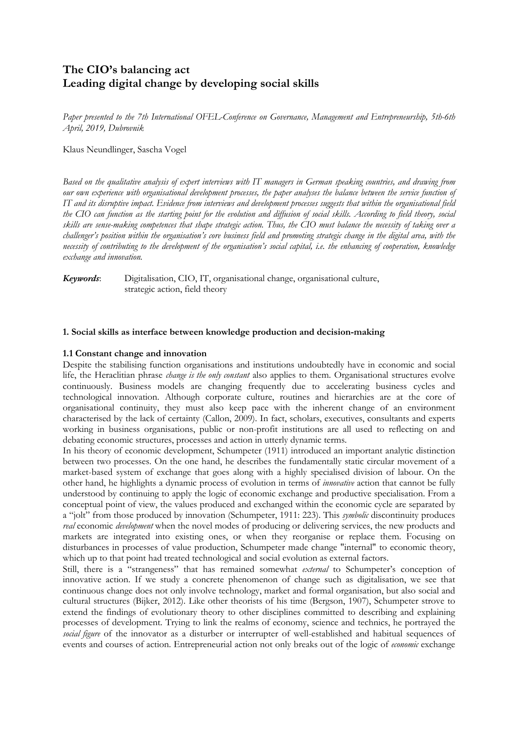# **The CIO's balancing act Leading digital change by developing social skills**

*Paper presented to the 7th International OFEL-Conference on Governance, Management and Entrepreneurship, 5th-6th April, 2019, Dubrovnik*

Klaus Neundlinger, Sascha Vogel

Based on the qualitative analysis of expert interviews with IT managers in German speaking countries, and drawing from our own experience with organisational development processes, the paper analyses the balance between the service function of IT and its disruptive impact. Evidence from interviews and development processes suggests that within the organisational field the CIO can function as the starting point for the evolution and diffusion of social skills. According to field theory, social skills are sense-making competences that shape strategic action. Thus, the CIO must balance the necessity of taking over a challenger's position within the organisation's core business field and promoting strategic change in the digital area, with the necessity of contributing to the development of the organisation's social capital, i.e. the enhancing of cooperation, knowledge *exchange and innovation.*

*Keywords*: Digitalisation, CIO, IT, organisational change, organisational culture, strategic action, field theory

## **1. Social skills as interface between knowledge production and decision-making**

#### **1.1 Constant change and innovation**

Despite the stabilising function organisations and institutions undoubtedly have in economic and social life, the Heraclitian phrase *change is the only constant* also applies to them. Organisational structures evolve continuously. Business models are changing frequently due to accelerating business cycles and technological innovation. Although corporate culture, routines and hierarchies are at the core of organisational continuity, they must also keep pace with the inherent change of an environment characterised by the lack of certainty (Callon, 2009). In fact, scholars, executives, consultants and experts working in business organisations, public or non-profit institutions are all used to reflecting on and debating economic structures, processes and action in utterly dynamic terms.

In his theory of economic development, Schumpeter (1911) introduced an important analytic distinction between two processes. On the one hand, he describes the fundamentally static circular movement of a market-based system of exchange that goes along with a highly specialised division of labour. On the other hand, he highlights a dynamic process of evolution in terms of *innovative* action that cannot be fully understood by continuing to apply the logic of economic exchange and productive specialisation. From a conceptual point of view, the values produced and exchanged within the economic cycle are separated by a "jolt" from those produced by innovation (Schumpeter, 1911: 223). This *symbolic* discontinuity produces *real* economic *development* when the novel modes of producing or delivering services, the new products and markets are integrated into existing ones, or when they reorganise or replace them. Focusing on disturbances in processes of value production, Schumpeter made change "internal" to economic theory, which up to that point had treated technological and social evolution as external factors.

Still, there is a "strangeness" that has remained somewhat *external* to Schumpeter's conception of innovative action. If we study a concrete phenomenon of change such as digitalisation, we see that continuous change does not only involve technology, market and formal organisation, but also social and cultural structures (Bijker, 2012). Like other theorists of his time (Bergson, 1907), Schumpeter strove to extend the findings of evolutionary theory to other disciplines committed to describing and explaining processes of development. Trying to link the realms of economy, science and technics, he portrayed the *social figure* of the innovator as a disturber or interrupter of well-established and habitual sequences of events and courses of action. Entrepreneurial action not only breaks out of the logic of *economic* exchange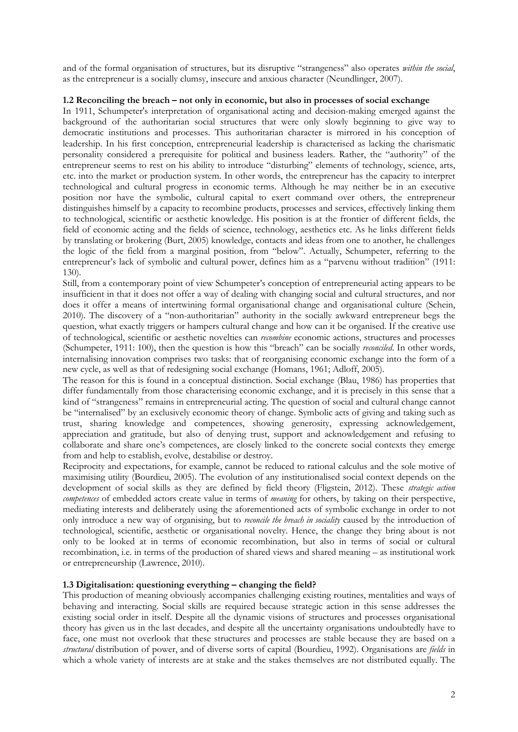and of the formal organisation of structures, but its disruptive "strangeness" also operates *within the social*, as the entrepreneur is a socially clumsy, insecure and anxious character (Neundlinger, 2007).

#### **1.2 Reconciling the breach – not only in economic, but also in processes of social exchange**

In 1911, Schumpeter's interpretation of organisational acting and decision-making emerged against the background of the authoritarian social structures that were only slowly beginning to give way to democratic institutions and processes. This authoritarian character is mirrored in his conception of leadership. In his first conception, entrepreneurial leadership is characterised as lacking the charismatic personality considered a prerequisite for political and business leaders. Rather, the "authority" of the entrepreneur seems to rest on his ability to introduce "disturbing" elements of technology, science, arts, etc. into the market or production system. In other words, the entrepreneur has the capacity to interpret technological and cultural progress in economic terms. Although he may neither be in an executive position nor have the symbolic, cultural capital to exert command over others, the entrepreneur distinguishes himself by a capacity to recombine products, processes and services, effectively linking them to technological, scientific or aesthetic knowledge. His position is at the frontier of different fields, the field of economic acting and the fields of science, technology, aesthetics etc. As he links different fields by translating or brokering (Burt, 2005) knowledge, contacts and ideas from one to another, he challenges the logic of the field from a marginal position, from "below". Actually, Schumpeter, referring to the entrepreneur's lack of symbolic and cultural power, defines him as a "parvenu without tradition" (1911: 130).

Still, from a contemporary point of view Schumpeter's conception of entrepreneurial acting appears to be insufficient in that it does not offer a way of dealing with changing social and cultural structures, and nor does it offer a means of intertwining formal organisational change and organisational culture (Schein, 2010). The discovery of a "non-authoritarian" authority in the socially awkward entrepreneur begs the question, what exactly triggers or hampers cultural change and how can it be organised. If the creative use of technological, scientific or aesthetic novelties can *recombine* economic actions, structures and processes (Schumpeter, 1911: 100), then the question is how this "breach" can be socially *reconciled*. In other words, internalising innovation comprises two tasks: that of reorganising economic exchange into the form of a new cycle, as well as that of redesigning social exchange (Homans, 1961; Adloff, 2005).

The reason for this is found in a conceptual distinction. Social exchange (Blau, 1986) has properties that differ fundamentally from those characterising economic exchange, and it is precisely in this sense that a kind of "strangeness" remains in entrepreneurial acting. The question of social and cultural change cannot be "internalised" by an exclusively economic theory of change. Symbolic acts of giving and taking such as trust, sharing knowledge and competences, showing generosity, expressing acknowledgement, appreciation and gratitude, but also of denying trust, support and acknowledgement and refusing to collaborate and share one's competences, are closely linked to the concrete social contexts they emerge from and help to establish, evolve, destabilise or destroy.

Reciprocity and expectations, for example, cannot be reduced to rational calculus and the sole motive of maximising utility (Bourdieu, 2005). The evolution of any institutionalised social context depends on the development of social skills as they are defined by field theory (Fligstein, 2012). These *strategic action competences* of embedded actors create value in terms of *meaning* for others, by taking on their perspective, mediating interests and deliberately using the aforementioned acts of symbolic exchange in order to not only introduce a new way of organising, but to *reconcile the breach in sociality* caused by the introduction of technological, scientific, aesthetic or organisational novelty. Hence, the change they bring about is not only to be looked at in terms of economic recombination, but also in terms of social or cultural recombination, i.e. in terms of the production of shared views and shared meaning – as institutional work or entrepreneurship (Lawrence, 2010).

# **1.3 Digitalisation: questioning everything – changing the field?**

This production of meaning obviously accompanies challenging existing routines, mentalities and ways of behaving and interacting. Social skills are required because strategic action in this sense addresses the existing social order in itself. Despite all the dynamic visions of structures and processes organisational theory has given us in the last decades, and despite all the uncertainty organisations undoubtedly have to face, one must not overlook that these structures and processes are stable because they are based on a *structural* distribution of power, and of diverse sorts of capital (Bourdieu, 1992). Organisations are *fields* in which a whole variety of interests are at stake and the stakes themselves are not distributed equally. The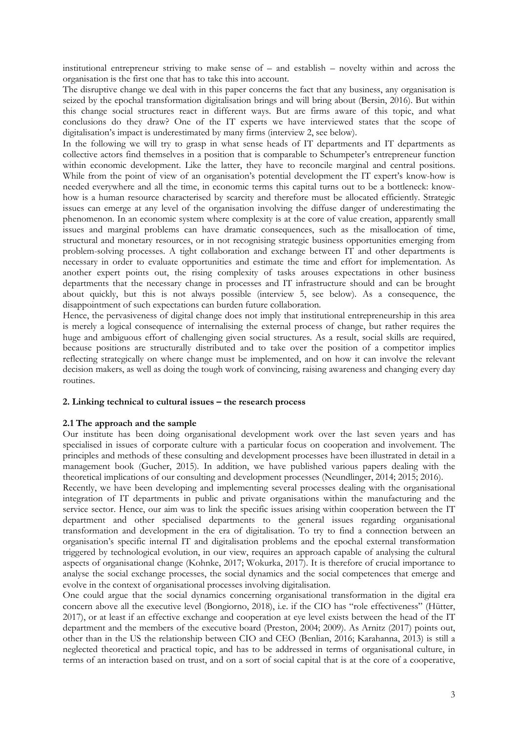institutional entrepreneur striving to make sense of – and establish – novelty within and across the organisation is the first one that has to take this into account.

The disruptive change we deal with in this paper concerns the fact that any business, any organisation is seized by the epochal transformation digitalisation brings and will bring about (Bersin, 2016). But within this change social structures react in different ways. But are firms aware of this topic, and what conclusions do they draw? One of the IT experts we have interviewed states that the scope of digitalisation's impact is underestimated by many firms (interview 2, see below).

In the following we will try to grasp in what sense heads of IT departments and IT departments as collective actors find themselves in a position that is comparable to Schumpeter's entrepreneur function within economic development. Like the latter, they have to reconcile marginal and central positions. While from the point of view of an organisation's potential development the IT expert's know-how is needed everywhere and all the time, in economic terms this capital turns out to be a bottleneck: knowhow is a human resource characterised by scarcity and therefore must be allocated efficiently. Strategic issues can emerge at any level of the organisation involving the diffuse danger of underestimating the phenomenon. In an economic system where complexity is at the core of value creation, apparently small issues and marginal problems can have dramatic consequences, such as the misallocation of time, structural and monetary resources, or in not recognising strategic business opportunities emerging from problem-solving processes. A tight collaboration and exchange between IT and other departments is necessary in order to evaluate opportunities and estimate the time and effort for implementation. As another expert points out, the rising complexity of tasks arouses expectations in other business departments that the necessary change in processes and IT infrastructure should and can be brought about quickly, but this is not always possible (interview 5, see below). As a consequence, the disappointment of such expectations can burden future collaboration.

Hence, the pervasiveness of digital change does not imply that institutional entrepreneurship in this area is merely a logical consequence of internalising the external process of change, but rather requires the huge and ambiguous effort of challenging given social structures. As a result, social skills are required, because positions are structurally distributed and to take over the position of a competitor implies reflecting strategically on where change must be implemented, and on how it can involve the relevant decision makers, as well as doing the tough work of convincing, raising awareness and changing every day routines.

#### **2. Linking technical to cultural issues – the research process**

#### **2.1 The approach and the sample**

Our institute has been doing organisational development work over the last seven years and has specialised in issues of corporate culture with a particular focus on cooperation and involvement. The principles and methods of these consulting and development processes have been illustrated in detail in a management book (Gucher, 2015). In addition, we have published various papers dealing with the theoretical implications of our consulting and development processes (Neundlinger, 2014; 2015; 2016).

Recently, we have been developing and implementing several processes dealing with the organisational integration of IT departments in public and private organisations within the manufacturing and the service sector. Hence, our aim was to link the specific issues arising within cooperation between the IT department and other specialised departments to the general issues regarding organisational transformation and development in the era of digitalisation. To try to find a connection between an organisation's specific internal IT and digitalisation problems and the epochal external transformation triggered by technological evolution, in our view, requires an approach capable of analysing the cultural aspects of organisational change (Kohnke, 2017; Wokurka, 2017). It is therefore of crucial importance to analyse the social exchange processes, the social dynamics and the social competences that emerge and evolve in the context of organisational processes involving digitalisation.

One could argue that the social dynamics concerning organisational transformation in the digital era concern above all the executive level (Bongiorno, 2018), i.e. if the CIO has "role effectiveness" (Hütter, 2017), or at least if an effective exchange and cooperation at eye level exists between the head of the IT department and the members of the executive board (Preston, 2004; 2009). As Arnitz (2017) points out, other than in the US the relationship between CIO and CEO (Benlian, 2016; Karahanna, 2013) is still a neglected theoretical and practical topic, and has to be addressed in terms of organisational culture, in terms of an interaction based on trust, and on a sort of social capital that is at the core of a cooperative,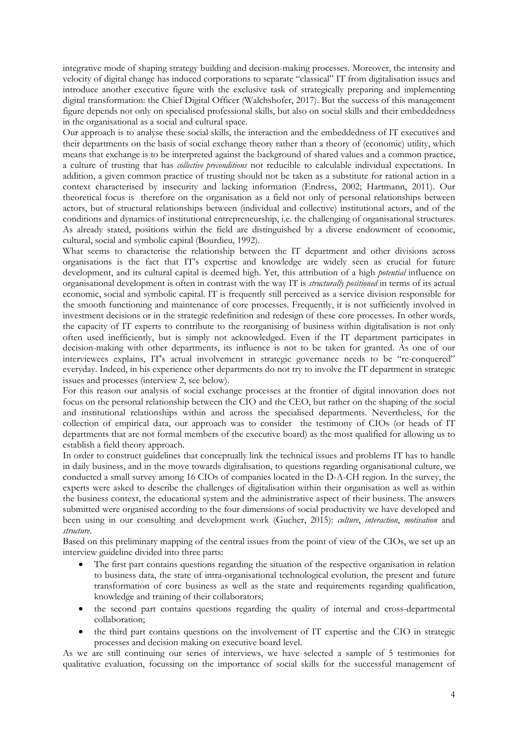integrative mode of shaping strategy building and decision-making processes. Moreover, the intensity and velocity of digital change has induced corporations to separate "classical" IT from digitalisation issues and introduce another executive figure with the exclusive task of strategically preparing and implementing digital transformation: the Chief Digital Officer (Walchshofer, 2017). But the success of this management figure depends not only on specialised professional skills, but also on social skills and their embeddedness in the organisational as a social and cultural space.

Our approach is to analyse these social skills, the interaction and the embeddedness of IT executives and their departments on the basis of social exchange theory rather than a theory of (economic) utility, which means that exchange is to be interpreted against the background of shared values and a common practice, a culture of trusting that has *collective preconditions* not reducible to calculable individual expectations. In addition, a given common practice of trusting should not be taken as a substitute for rational action in a context characterised by insecurity and lacking information (Endress, 2002; Hartmann, 2011). Our theoretical focus is therefore on the organisation as a field not only of personal relationships between actors, but of structural relationships between (individual and collective) institutional actors, and of the conditions and dynamics of institutional entrepreneurship, i.e. the challenging of organisational structures. As already stated, positions within the field are distinguished by a diverse endowment of economic, cultural, social and symbolic capital (Bourdieu, 1992).

What seems to characterise the relationship between the IT department and other divisions across organisations is the fact that IT's expertise and knowledge are widely seen as crucial for future development, and its cultural capital is deemed high. Yet, this attribution of a high *potential* influence on organisational development is often in contrast with the way IT is *structurally positioned* in terms of its actual economic, social and symbolic capital. IT is frequently still perceived as a service division responsible for the smooth functioning and maintenance of core processes. Frequently, it is not sufficiently involved in investment decisions or in the strategic redefinition and redesign of these core processes. In other words, the capacity of IT experts to contribute to the reorganising of business within digitalisation is not only often used inefficiently, but is simply not acknowledged. Even if the IT department participates in decision-making with other departments, its influence is not to be taken for granted. As one of our interviewees explains, IT's actual involvement in strategic governance needs to be "re-conquered" everyday. Indeed, in his experience other departments do not try to involve the IT department in strategic issues and processes (interview 2, see below).

For this reason our analysis of social exchange processes at the frontier of digital innovation does not focus on the personal relationship between the CIO and the CEO, but rather on the shaping of the social and institutional relationships within and across the specialised departments. Nevertheless, for the collection of empirical data, our approach was to consider the testimony of CIOs (or heads of IT departments that are not formal members of the executive board) as the most qualified for allowing us to establish a field theory approach.

In order to construct guidelines that conceptually link the technical issues and problems IT has to handle in daily business, and in the move towards digitalisation, to questions regarding organisational culture, we conducted a small survey among 16 CIOs of companies located in the D-A-CH region. In the survey, the experts were asked to describe the challenges of digitalisation within their organisation as well as within the business context, the educational system and the administrative aspect of their business. The answers submitted were organised according to the four dimensions of social productivity we have developed and been using in our consulting and development work (Gucher, 2015): *culture*, *interaction*, *motivation* and *structure*.

Based on this preliminary mapping of the central issues from the point of view of the CIOs, we set up an interview guideline divided into three parts:

- The first part contains questions regarding the situation of the respective organisation in relation to business data, the state of intra-organisational technological evolution, the present and future transformation of core business as well as the state and requirements regarding qualification, knowledge and training of their collaborators;
- the second part contains questions regarding the quality of internal and cross-departmental collaboration;
- the third part contains questions on the involvement of IT expertise and the CIO in strategic processes and decision making on executive board level.

As we are still continuing our series of interviews, we have selected a sample of 5 testimonies for qualitative evaluation, focussing on the importance of social skills for the successful management of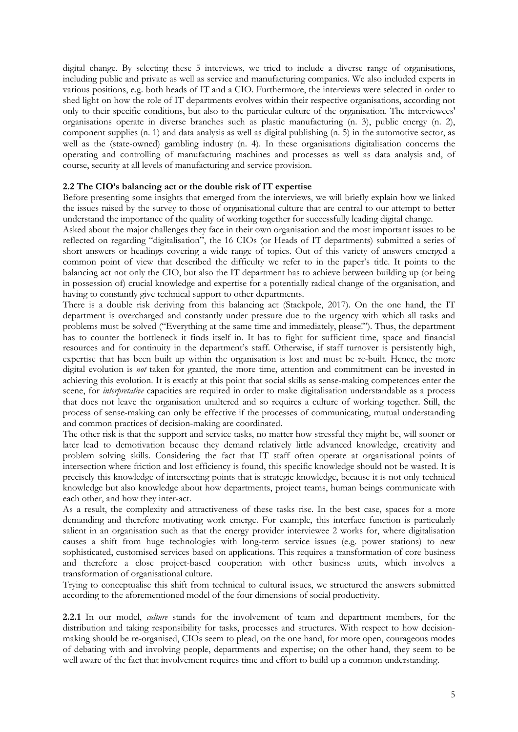digital change. By selecting these 5 interviews, we tried to include a diverse range of organisations, including public and private as well as service and manufacturing companies. We also included experts in various positions, e.g. both heads of IT and a CIO. Furthermore, the interviews were selected in order to shed light on how the role of IT departments evolves within their respective organisations, according not only to their specific conditions, but also to the particular culture of the organisation. The interviewees' organisations operate in diverse branches such as plastic manufacturing (n. 3), public energy (n. 2), component supplies (n. 1) and data analysis as well as digital publishing (n. 5) in the automotive sector, as well as the (state-owned) gambling industry (n. 4). In these organisations digitalisation concerns the operating and controlling of manufacturing machines and processes as well as data analysis and, of course, security at all levels of manufacturing and service provision.

#### **2.2 The CIO's balancing act or the double risk of IT expertise**

Before presenting some insights that emerged from the interviews, we will briefly explain how we linked the issues raised by the survey to those of organisational culture that are central to our attempt to better understand the importance of the quality of working together for successfully leading digital change.

Asked about the major challenges they face in their own organisation and the most important issues to be reflected on regarding "digitalisation", the 16 CIOs (or Heads of IT departments) submitted a series of short answers or headings covering a wide range of topics. Out of this variety of answers emerged a common point of view that described the difficulty we refer to in the paper's title. It points to the balancing act not only the CIO, but also the IT department has to achieve between building up (or being in possession of) crucial knowledge and expertise for a potentially radical change of the organisation, and having to constantly give technical support to other departments.

There is a double risk deriving from this balancing act (Stackpole, 2017). On the one hand, the IT department is overcharged and constantly under pressure due to the urgency with which all tasks and problems must be solved ("Everything at the same time and immediately, please!"). Thus, the department has to counter the bottleneck it finds itself in. It has to fight for sufficient time, space and financial resources and for continuity in the department's staff. Otherwise, if staff turnover is persistently high, expertise that has been built up within the organisation is lost and must be re-built. Hence, the more digital evolution is *not* taken for granted, the more time, attention and commitment can be invested in achieving this evolution. It is exactly at this point that social skills as sense-making competences enter the scene, for *interpretative* capacities are required in order to make digitalisation understandable as a process that does not leave the organisation unaltered and so requires a culture of working together. Still, the process of sense-making can only be effective if the processes of communicating, mutual understanding and common practices of decision-making are coordinated.

The other risk is that the support and service tasks, no matter how stressful they might be, will sooner or later lead to demotivation because they demand relatively little advanced knowledge, creativity and problem solving skills. Considering the fact that IT staff often operate at organisational points of intersection where friction and lost efficiency is found, this specific knowledge should not be wasted. It is precisely this knowledge of intersecting points that is strategic knowledge, because it is not only technical knowledge but also knowledge about how departments, project teams, human beings communicate with each other, and how they inter-act.

As a result, the complexity and attractiveness of these tasks rise. In the best case, spaces for a more demanding and therefore motivating work emerge. For example, this interface function is particularly salient in an organisation such as that the energy provider interviewee 2 works for, where digitalisation causes a shift from huge technologies with long-term service issues (e.g. power stations) to new sophisticated, customised services based on applications. This requires a transformation of core business and therefore a close project-based cooperation with other business units, which involves a transformation of organisational culture.

Trying to conceptualise this shift from technical to cultural issues, we structured the answers submitted according to the aforementioned model of the four dimensions of social productivity.

**2.2.1** In our model, *culture* stands for the involvement of team and department members, for the distribution and taking responsibility for tasks, processes and structures. With respect to how decisionmaking should be re-organised, CIOs seem to plead, on the one hand, for more open, courageous modes of debating with and involving people, departments and expertise; on the other hand, they seem to be well aware of the fact that involvement requires time and effort to build up a common understanding.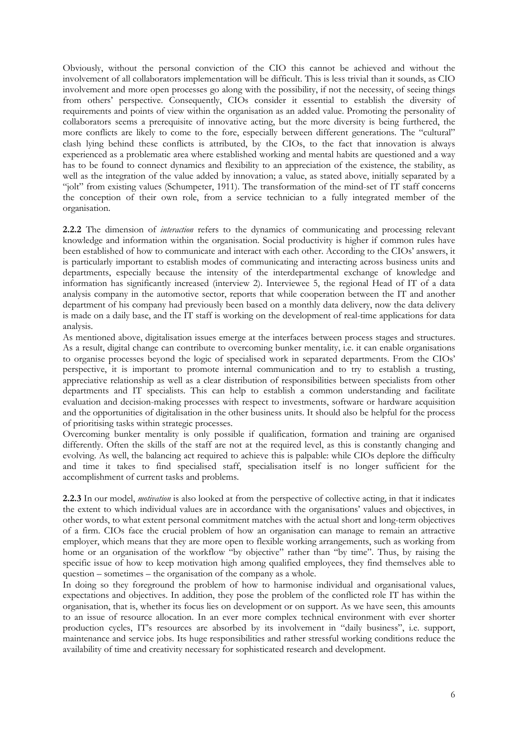Obviously, without the personal conviction of the CIO this cannot be achieved and without the involvement of all collaborators implementation will be difficult. This is less trivial than it sounds, as CIO involvement and more open processes go along with the possibility, if not the necessity, of seeing things from others' perspective. Consequently, CIOs consider it essential to establish the diversity of requirements and points of view within the organisation as an added value. Promoting the personality of collaborators seems a prerequisite of innovative acting, but the more diversity is being furthered, the more conflicts are likely to come to the fore, especially between different generations. The "cultural" clash lying behind these conflicts is attributed, by the CIOs, to the fact that innovation is always experienced as a problematic area where established working and mental habits are questioned and a way has to be found to connect dynamics and flexibility to an appreciation of the existence, the stability, as well as the integration of the value added by innovation; a value, as stated above, initially separated by a "jolt" from existing values (Schumpeter, 1911). The transformation of the mind-set of IT staff concerns the conception of their own role, from a service technician to a fully integrated member of the organisation.

**2.2.2** The dimension of *interaction* refers to the dynamics of communicating and processing relevant knowledge and information within the organisation. Social productivity is higher if common rules have been established of how to communicate and interact with each other. According to the CIOs' answers, it is particularly important to establish modes of communicating and interacting across business units and departments, especially because the intensity of the interdepartmental exchange of knowledge and information has significantly increased (interview 2). Interviewee 5, the regional Head of IT of a data analysis company in the automotive sector, reports that while cooperation between the IT and another department of his company had previously been based on a monthly data delivery, now the data delivery is made on a daily base, and the IT staff is working on the development of real-time applications for data analysis.

As mentioned above, digitalisation issues emerge at the interfaces between process stages and structures. As a result, digital change can contribute to overcoming bunker mentality, i.e. it can enable organisations to organise processes beyond the logic of specialised work in separated departments. From the CIOs' perspective, it is important to promote internal communication and to try to establish a trusting, appreciative relationship as well as a clear distribution of responsibilities between specialists from other departments and IT specialists. This can help to establish a common understanding and facilitate evaluation and decision-making processes with respect to investments, software or hardware acquisition and the opportunities of digitalisation in the other business units. It should also be helpful for the process of prioritising tasks within strategic processes.

Overcoming bunker mentality is only possible if qualification, formation and training are organised differently. Often the skills of the staff are not at the required level, as this is constantly changing and evolving. As well, the balancing act required to achieve this is palpable: while CIOs deplore the difficulty and time it takes to find specialised staff, specialisation itself is no longer sufficient for the accomplishment of current tasks and problems.

**2.2.3** In our model, *motivation* is also looked at from the perspective of collective acting, in that it indicates the extent to which individual values are in accordance with the organisations' values and objectives, in other words, to what extent personal commitment matches with the actual short and long-term objectives of a firm. CIOs face the crucial problem of how an organisation can manage to remain an attractive employer, which means that they are more open to flexible working arrangements, such as working from home or an organisation of the workflow "by objective" rather than "by time". Thus, by raising the specific issue of how to keep motivation high among qualified employees, they find themselves able to question – sometimes – the organisation of the company as a whole.

In doing so they foreground the problem of how to harmonise individual and organisational values, expectations and objectives. In addition, they pose the problem of the conflicted role IT has within the organisation, that is, whether its focus lies on development or on support. As we have seen, this amounts to an issue of resource allocation. In an ever more complex technical environment with ever shorter production cycles, IT's resources are absorbed by its involvement in "daily business", i.e. support, maintenance and service jobs. Its huge responsibilities and rather stressful working conditions reduce the availability of time and creativity necessary for sophisticated research and development.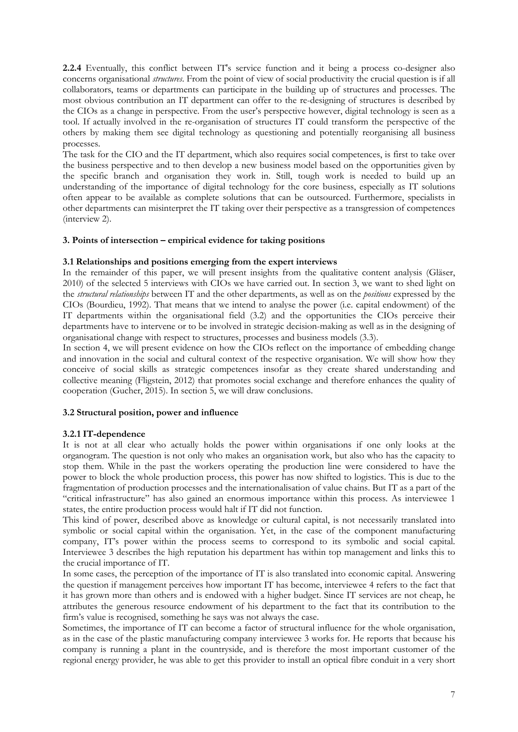**2.2.4** Eventually, this conflict between IT's service function and it being a process co-designer also concerns organisational *structures*. From the point of view of social productivity the crucial question is if all collaborators, teams or departments can participate in the building up of structures and processes. The most obvious contribution an IT department can offer to the re-designing of structures is described by the CIOs as a change in perspective. From the user's perspective however, digital technology is seen as a tool. If actually involved in the re-organisation of structures IT could transform the perspective of the others by making them see digital technology as questioning and potentially reorganising all business processes.

The task for the CIO and the IT department, which also requires social competences, is first to take over the business perspective and to then develop a new business model based on the opportunities given by the specific branch and organisation they work in. Still, tough work is needed to build up an understanding of the importance of digital technology for the core business, especially as IT solutions often appear to be available as complete solutions that can be outsourced. Furthermore, specialists in other departments can misinterpret the IT taking over their perspective as a transgression of competences (interview 2).

# **3. Points of intersection – empirical evidence for taking positions**

## **3.1 Relationships and positions emerging from the expert interviews**

In the remainder of this paper, we will present insights from the qualitative content analysis (Gläser, 2010) of the selected 5 interviews with CIOs we have carried out. In section 3, we want to shed light on the *structural relationships* between IT and the other departments, as well as on the *positions* expressed by the CIOs (Bourdieu, 1992). That means that we intend to analyse the power (i.e. capital endowment) of the IT departments within the organisational field (3.2) and the opportunities the CIOs perceive their departments have to intervene or to be involved in strategic decision-making as well as in the designing of organisational change with respect to structures, processes and business models (3.3).

In section 4, we will present evidence on how the CIOs reflect on the importance of embedding change and innovation in the social and cultural context of the respective organisation. We will show how they conceive of social skills as strategic competences insofar as they create shared understanding and collective meaning (Fligstein, 2012) that promotes social exchange and therefore enhances the quality of cooperation (Gucher, 2015). In section 5, we will draw conclusions.

# **3.2 Structural position, power and influence**

#### **3.2.1 IT-dependence**

It is not at all clear who actually holds the power within organisations if one only looks at the organogram. The question is not only who makes an organisation work, but also who has the capacity to stop them. While in the past the workers operating the production line were considered to have the power to block the whole production process, this power has now shifted to logistics. This is due to the fragmentation of production processes and the internationalisation of value chains. But IT as a part of the "critical infrastructure" has also gained an enormous importance within this process. As interviewee 1 states, the entire production process would halt if IT did not function.

This kind of power, described above as knowledge or cultural capital, is not necessarily translated into symbolic or social capital within the organisation. Yet, in the case of the component manufacturing company, IT's power within the process seems to correspond to its symbolic and social capital. Interviewee 3 describes the high reputation his department has within top management and links this to the crucial importance of IT.

In some cases, the perception of the importance of IT is also translated into economic capital. Answering the question if management perceives how important IT has become, interviewee 4 refers to the fact that it has grown more than others and is endowed with a higher budget. Since IT services are not cheap, he attributes the generous resource endowment of his department to the fact that its contribution to the firm's value is recognised, something he says was not always the case.

Sometimes, the importance of IT can become a factor of structural influence for the whole organisation, as in the case of the plastic manufacturing company interviewee 3 works for. He reports that because his company is running a plant in the countryside, and is therefore the most important customer of the regional energy provider, he was able to get this provider to install an optical fibre conduit in a very short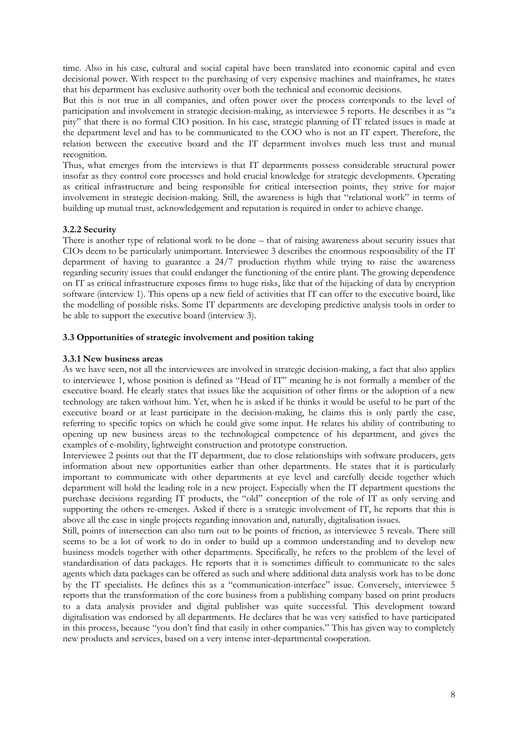time. Also in his case, cultural and social capital have been translated into economic capital and even decisional power. With respect to the purchasing of very expensive machines and mainframes, he states that his department has exclusive authority over both the technical and economic decisions.

But this is not true in all companies, and often power over the process corresponds to the level of participation and involvement in strategic decision-making, as interviewee 5 reports. He describes it as "a pity" that there is no formal CIO position. In his case, strategic planning of IT related issues is made at the department level and has to be communicated to the COO who is not an IT expert. Therefore, the relation between the executive board and the IT department involves much less trust and mutual recognition.

Thus, what emerges from the interviews is that IT departments possess considerable structural power insofar as they control core processes and hold crucial knowledge for strategic developments. Operating as critical infrastructure and being responsible for critical intersection points, they strive for major involvement in strategic decision-making. Still, the awareness is high that "relational work" in terms of building up mutual trust, acknowledgement and reputation is required in order to achieve change.

# **3.2.2 Security**

There is another type of relational work to be done – that of raising awareness about security issues that CIOs deem to be particularly unimportant. Interviewee 3 describes the enormous responsibility of the IT department of having to guarantee a 24/7 production rhythm while trying to raise the awareness regarding security issues that could endanger the functioning of the entire plant. The growing dependence on IT as critical infrastructure exposes firms to huge risks, like that of the hijacking of data by encryption software (interview 1). This opens up a new field of activities that IT can offer to the executive board, like the modelling of possible risks. Some IT departments are developing predictive analysis tools in order to be able to support the executive board (interview 3).

### **3.3 Opportunities of strategic involvement and position taking**

#### **3.3.1 New business areas**

As we have seen, not all the interviewees are involved in strategic decision-making, a fact that also applies to interviewee 1, whose position is defined as "Head of IT" meaning he is not formally a member of the executive board. He clearly states that issues like the acquisition of other firms or the adoption of a new technology are taken without him. Yet, when he is asked if he thinks it would be useful to be part of the executive board or at least participate in the decision-making, he claims this is only partly the case, referring to specific topics on which he could give some input. He relates his ability of contributing to opening up new business areas to the technological competence of his department, and gives the examples of e-mobility, lightweight construction and prototype construction.

Interviewee 2 points out that the IT department, due to close relationships with software producers, gets information about new opportunities earlier than other departments. He states that it is particularly important to communicate with other departments at eye level and carefully decide together which department will hold the leading role in a new project. Especially when the IT department questions the purchase decisions regarding IT products, the "old" conception of the role of IT as only serving and supporting the others re-emerges. Asked if there is a strategic involvement of IT, he reports that this is above all the case in single projects regarding innovation and, naturally, digitalisation issues.

Still, points of intersection can also turn out to be points of friction, as interviewee 5 reveals. There still seems to be a lot of work to do in order to build up a common understanding and to develop new business models together with other departments. Specifically, he refers to the problem of the level of standardisation of data packages. He reports that it is sometimes difficult to communicate to the sales agents which data packages can be offered as such and where additional data analysis work has to be done by the IT specialists. He defines this as a "communication-interface" issue. Conversely, interviewee 5 reports that the transformation of the core business from a publishing company based on print products to a data analysis provider and digital publisher was quite successful. This development toward digitalisation was endorsed by all departments. He declares that he was very satisfied to have participated in this process, because "you don't find that easily in other companies." This has given way to completely new products and services, based on a very intense inter-departmental cooperation.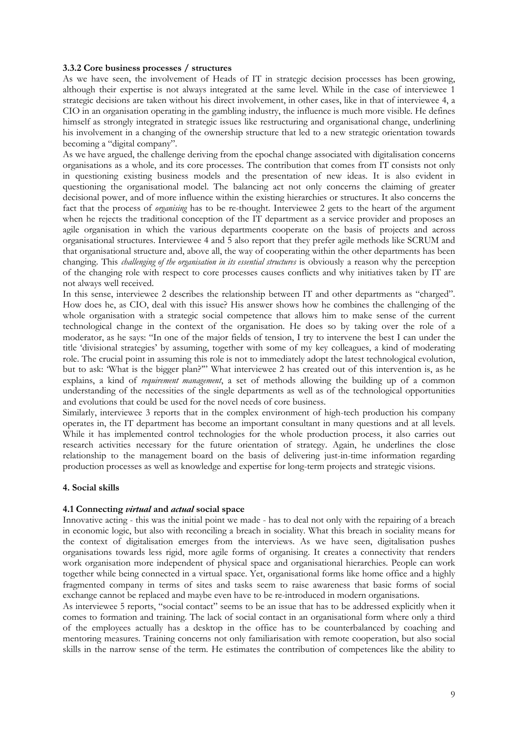#### **3.3.2 Core business processes / structures**

As we have seen, the involvement of Heads of IT in strategic decision processes has been growing, although their expertise is not always integrated at the same level. While in the case of interviewee 1 strategic decisions are taken without his direct involvement, in other cases, like in that of interviewee 4, a CIO in an organisation operating in the gambling industry, the influence is much more visible. He defines himself as strongly integrated in strategic issues like restructuring and organisational change, underlining his involvement in a changing of the ownership structure that led to a new strategic orientation towards becoming a "digital company".

As we have argued, the challenge deriving from the epochal change associated with digitalisation concerns organisations as a whole, and its core processes. The contribution that comes from IT consists not only in questioning existing business models and the presentation of new ideas. It is also evident in questioning the organisational model. The balancing act not only concerns the claiming of greater decisional power, and of more influence within the existing hierarchies or structures. It also concerns the fact that the process of *organising* has to be re-thought. Interviewee 2 gets to the heart of the argument when he rejects the traditional conception of the IT department as a service provider and proposes an agile organisation in which the various departments cooperate on the basis of projects and across organisational structures. Interviewee 4 and 5 also report that they prefer agile methods like SCRUM and that organisational structure and, above all, the way of cooperating within the other departments has been changing. This *challenging of the organisation in its essential structures* is obviously a reason why the perception of the changing role with respect to core processes causes conflicts and why initiatives taken by IT are not always well received.

In this sense, interviewee 2 describes the relationship between IT and other departments as "charged". How does he, as CIO, deal with this issue? His answer shows how he combines the challenging of the whole organisation with a strategic social competence that allows him to make sense of the current technological change in the context of the organisation. He does so by taking over the role of a moderator, as he says: "In one of the major fields of tension, I try to intervene the best I can under the title 'divisional strategies' by assuming, together with some of my key colleagues, a kind of moderating role. The crucial point in assuming this role is not to immediately adopt the latest technological evolution, but to ask: 'What is the bigger plan?'" What interviewee 2 has created out of this intervention is, as he explains, a kind of *requirement management*, a set of methods allowing the building up of a common understanding of the necessities of the single departments as well as of the technological opportunities and evolutions that could be used for the novel needs of core business.

Similarly, interviewee 3 reports that in the complex environment of high-tech production his company operates in, the IT department has become an important consultant in many questions and at all levels. While it has implemented control technologies for the whole production process, it also carries out research activities necessary for the future orientation of strategy. Again, he underlines the close relationship to the management board on the basis of delivering just-in-time information regarding production processes as well as knowledge and expertise for long-term projects and strategic visions.

#### **4. Social skills**

#### **4.1 Connecting** *virtual* **and** *actual* **social space**

Innovative acting - this was the initial point we made - has to deal not only with the repairing of a breach in economic logic, but also with reconciling a breach in sociality. What this breach in sociality means for the context of digitalisation emerges from the interviews. As we have seen, digitalisation pushes organisations towards less rigid, more agile forms of organising. It creates a connectivity that renders work organisation more independent of physical space and organisational hierarchies. People can work together while being connected in a virtual space. Yet, organisational forms like home office and a highly fragmented company in terms of sites and tasks seem to raise awareness that basic forms of social exchange cannot be replaced and maybe even have to be re-introduced in modern organisations.

As interviewee 5 reports, "social contact" seems to be an issue that has to be addressed explicitly when it comes to formation and training. The lack of social contact in an organisational form where only a third of the employees actually has a desktop in the office has to be counterbalanced by coaching and mentoring measures. Training concerns not only familiarisation with remote cooperation, but also social skills in the narrow sense of the term. He estimates the contribution of competences like the ability to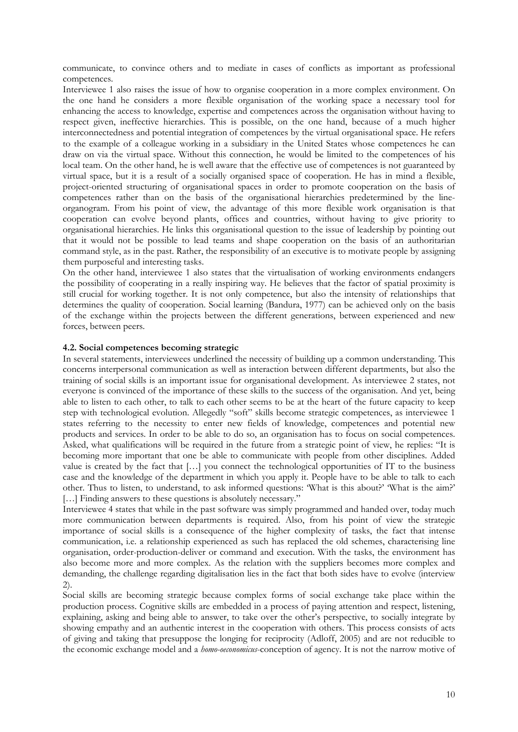communicate, to convince others and to mediate in cases of conflicts as important as professional competences.

Interviewee 1 also raises the issue of how to organise cooperation in a more complex environment. On the one hand he considers a more flexible organisation of the working space a necessary tool for enhancing the access to knowledge, expertise and competences across the organisation without having to respect given, ineffective hierarchies. This is possible, on the one hand, because of a much higher interconnectedness and potential integration of competences by the virtual organisational space. He refers to the example of a colleague working in a subsidiary in the United States whose competences he can draw on via the virtual space. Without this connection, he would be limited to the competences of his local team. On the other hand, he is well aware that the effective use of competences is not guaranteed by virtual space, but it is a result of a socially organised space of cooperation. He has in mind a flexible, project-oriented structuring of organisational spaces in order to promote cooperation on the basis of competences rather than on the basis of the organisational hierarchies predetermined by the lineorganogram. From his point of view, the advantage of this more flexible work organisation is that cooperation can evolve beyond plants, offices and countries, without having to give priority to organisational hierarchies. He links this organisational question to the issue of leadership by pointing out that it would not be possible to lead teams and shape cooperation on the basis of an authoritarian command style, as in the past. Rather, the responsibility of an executive is to motivate people by assigning them purposeful and interesting tasks.

On the other hand, interviewee 1 also states that the virtualisation of working environments endangers the possibility of cooperating in a really inspiring way. He believes that the factor of spatial proximity is still crucial for working together. It is not only competence, but also the intensity of relationships that determines the quality of cooperation. Social learning (Bandura, 1977) can be achieved only on the basis of the exchange within the projects between the different generations, between experienced and new forces, between peers.

## **4.2. Social competences becoming strategic**

In several statements, interviewees underlined the necessity of building up a common understanding. This concerns interpersonal communication as well as interaction between different departments, but also the training of social skills is an important issue for organisational development. As interviewee 2 states, not everyone is convinced of the importance of these skills to the success of the organisation. And yet, being able to listen to each other, to talk to each other seems to be at the heart of the future capacity to keep step with technological evolution. Allegedly "soft" skills become strategic competences, as interviewee 1 states referring to the necessity to enter new fields of knowledge, competences and potential new products and services. In order to be able to do so, an organisation has to focus on social competences. Asked, what qualifications will be required in the future from a strategic point of view, he replies: "It is becoming more important that one be able to communicate with people from other disciplines. Added value is created by the fact that […] you connect the technological opportunities of IT to the business case and the knowledge of the department in which you apply it. People have to be able to talk to each other. Thus to listen, to understand, to ask informed questions: 'What is this about?' 'What is the aim?' [...] Finding answers to these questions is absolutely necessary."

Interviewee 4 states that while in the past software was simply programmed and handed over, today much more communication between departments is required. Also, from his point of view the strategic importance of social skills is a consequence of the higher complexity of tasks, the fact that intense communication, i.e. a relationship experienced as such has replaced the old schemes, characterising line organisation, order-production-deliver or command and execution. With the tasks, the environment has also become more and more complex. As the relation with the suppliers becomes more complex and demanding, the challenge regarding digitalisation lies in the fact that both sides have to evolve (interview 2).

Social skills are becoming strategic because complex forms of social exchange take place within the production process. Cognitive skills are embedded in a process of paying attention and respect, listening, explaining, asking and being able to answer, to take over the other's perspective, to socially integrate by showing empathy and an authentic interest in the cooperation with others. This process consists of acts of giving and taking that presuppose the longing for reciprocity (Adloff, 2005) and are not reducible to the economic exchange model and a *homo-oeconomicus*-conception of agency. It is not the narrow motive of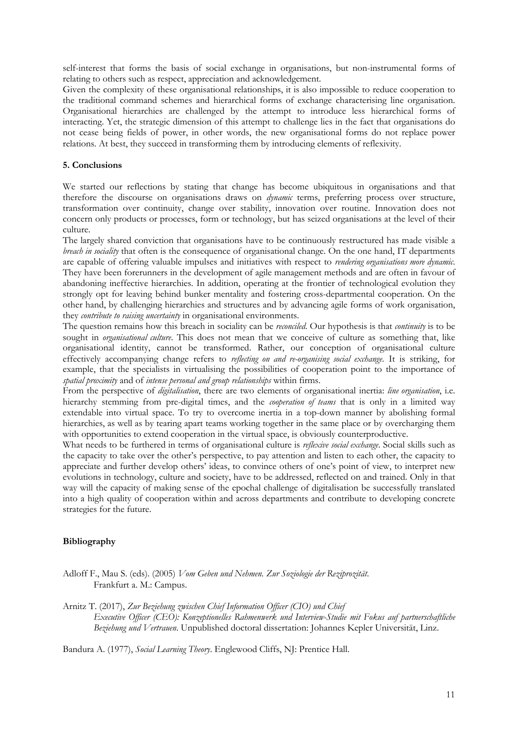self-interest that forms the basis of social exchange in organisations, but non-instrumental forms of relating to others such as respect, appreciation and acknowledgement.

Given the complexity of these organisational relationships, it is also impossible to reduce cooperation to the traditional command schemes and hierarchical forms of exchange characterising line organisation. Organisational hierarchies are challenged by the attempt to introduce less hierarchical forms of interacting. Yet, the strategic dimension of this attempt to challenge lies in the fact that organisations do not cease being fields of power, in other words, the new organisational forms do not replace power relations. At best, they succeed in transforming them by introducing elements of reflexivity.

## **5. Conclusions**

We started our reflections by stating that change has become ubiquitous in organisations and that therefore the discourse on organisations draws on *dynamic* terms, preferring process over structure, transformation over continuity, change over stability, innovation over routine. Innovation does not concern only products or processes, form or technology, but has seized organisations at the level of their culture.

The largely shared conviction that organisations have to be continuously restructured has made visible a *breach in sociality* that often is the consequence of organisational change. On the one hand, IT departments are capable of offering valuable impulses and initiatives with respect to *rendering organisations more dynamic*. They have been forerunners in the development of agile management methods and are often in favour of abandoning ineffective hierarchies. In addition, operating at the frontier of technological evolution they strongly opt for leaving behind bunker mentality and fostering cross-departmental cooperation. On the other hand, by challenging hierarchies and structures and by advancing agile forms of work organisation, they *contribute to raising uncertainty* in organisational environments.

The question remains how this breach in sociality can be *reconciled*. Our hypothesis is that *continuity* is to be sought in *organisational culture*. This does not mean that we conceive of culture as something that, like organisational identity, cannot be transformed. Rather, our conception of organisational culture effectively accompanying change refers to *reflecting on and re-organising social exchange*. It is striking, for example, that the specialists in virtualising the possibilities of cooperation point to the importance of *spatial proximity* and of *intense personal and group relationships* within firms.

From the perspective of *digitalisation*, there are two elements of organisational inertia: *line organisation*, i.e. hierarchy stemming from pre-digital times, and the *cooperation of teams* that is only in a limited way extendable into virtual space. To try to overcome inertia in a top-down manner by abolishing formal hierarchies, as well as by tearing apart teams working together in the same place or by overcharging them with opportunities to extend cooperation in the virtual space, is obviously counterproductive.

What needs to be furthered in terms of organisational culture is *reflexive social exchange*. Social skills such as the capacity to take over the other's perspective, to pay attention and listen to each other, the capacity to appreciate and further develop others' ideas, to convince others of one's point of view, to interpret new evolutions in technology, culture and society, have to be addressed, reflected on and trained. Only in that way will the capacity of making sense of the epochal challenge of digitalisation be successfully translated into a high quality of cooperation within and across departments and contribute to developing concrete strategies for the future.

# **Bibliography**

- Adloff F., Mau S. (eds). (2005) *Vom Geben und Nehmen. Zur Soziologie der Reziprozität*. Frankfurt a. M.: Campus.
- Arnitz T. (2017), *Zur Beziehung zwischen Chief Information Officer (CIO) und Chief Executive Officer (CEO): Konzeptionelles Rahmenwerk und Interview-Studie mit Fokus auf partnerschaftliche Beziehung und Vertrauen*. Unpublished doctoral dissertation: Johannes Kepler Universität, Linz.

Bandura A. (1977), *Social Learning Theory*. Englewood Cliffs, NJ: Prentice Hall.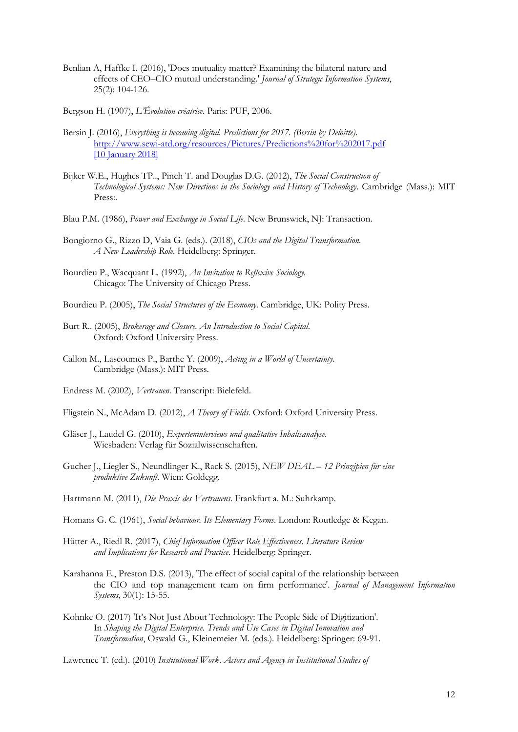- Benlian A, Haffke I. (2016), 'Does mutuality matter? Examining the bilateral nature and effects of CEO–CIO mutual understanding.' *Journal of Strategic Information Systems*, 25(2): 104-126.
- Bergson H. (1907), *L'Évolution créatrice*. Paris: PUF, 2006.
- Bersin J. (2016), *Everything is becoming digital. Predictions for 2017. (Bersin by Deloitte)*. http://www.sewi-atd.org/resources/Pictures/Predictions%20for%202017.pdf [10 January 2018]
- Bijker W.E., Hughes TP.., Pinch T. and Douglas D.G. (2012), *The Social Construction of Technological Systems: New Directions in the Sociology and History of Technology*. Cambridge (Mass.): MIT Press:.
- Blau P.M. (1986), *Power and Exchange in Social Life*. New Brunswick, NJ: Transaction.
- Bongiorno G., Rizzo D, Vaia G. (eds.). (2018), *CIOs and the Digital Transformation. A New Leadership Role*. Heidelberg: Springer.
- Bourdieu P., Wacquant L. (1992), *An Invitation to Reflexive Sociology*. Chicago: The University of Chicago Press.
- Bourdieu P. (2005), *The Social Structures of the Economy*. Cambridge, UK: Polity Press.
- Burt R.. (2005), *Brokerage and Closure. An Introduction to Social Capital*. Oxford: Oxford University Press.
- Callon M., Lascoumes P., Barthe Y. (2009), *Acting in a World of Uncertainty*. Cambridge (Mass.): MIT Press.
- Endress M. (2002), *Vertrauen*. Transcript: Bielefeld.
- Fligstein N., McAdam D. (2012), *A Theory of Fields*. Oxford: Oxford University Press.
- Gläser J., Laudel G. (2010), *Experteninterviews und qualitative Inhaltsanalyse*. Wiesbaden: Verlag für Sozialwissenschaften.
- Gucher J., Liegler S., Neundlinger K., Rack S. (2015), *NEW DEAL – 12 Prinzipien für eine produktive Zukunft*. Wien: Goldegg.
- Hartmann M. (2011), *Die Praxis des Vertrauens*. Frankfurt a. M.: Suhrkamp.
- Homans G. C. (1961), *Social behaviour. Its Elementary Forms*. London: Routledge & Kegan.
- Hütter A., Riedl R. (2017), *Chief Information Officer Role Effectiveness. Literature Review and Implications for Research and Practice*. Heidelberg: Springer.
- Karahanna E., Preston D.S. (2013), 'The effect of social capital of the relationship between the CIO and top management team on firm performance'. *Journal of Management Information Systems*, 30(1): 15-55.
- Kohnke O. (2017) 'It's Not Just About Technology: The People Side of Digitization'. In *Shaping the Digital Enterprise. Trends and Use Cases in Digital Innovation and Transformation*, Oswald G., Kleinemeier M. (eds.). Heidelberg: Springer: 69-91.

Lawrence T. (ed.). (2010) *Institutional Work. Actors and Agency in Institutional Studies of*